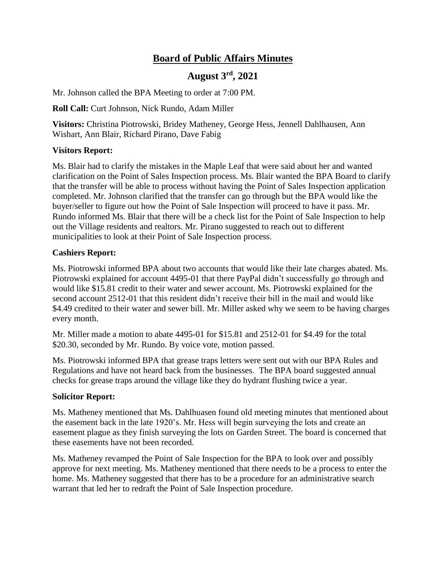# **Board of Public Affairs Minutes**

## **August 3rd, 2021**

Mr. Johnson called the BPA Meeting to order at 7:00 PM.

**Roll Call:** Curt Johnson, Nick Rundo, Adam Miller

**Visitors:** Christina Piotrowski, Bridey Matheney, George Hess, Jennell Dahlhausen, Ann Wishart, Ann Blair, Richard Pirano, Dave Fabig

## **Visitors Report:**

Ms. Blair had to clarify the mistakes in the Maple Leaf that were said about her and wanted clarification on the Point of Sales Inspection process. Ms. Blair wanted the BPA Board to clarify that the transfer will be able to process without having the Point of Sales Inspection application completed. Mr. Johnson clarified that the transfer can go through but the BPA would like the buyer/seller to figure out how the Point of Sale Inspection will proceed to have it pass. Mr. Rundo informed Ms. Blair that there will be a check list for the Point of Sale Inspection to help out the Village residents and realtors. Mr. Pirano suggested to reach out to different municipalities to look at their Point of Sale Inspection process.

## **Cashiers Report:**

Ms. Piotrowski informed BPA about two accounts that would like their late charges abated. Ms. Piotrowski explained for account 4495-01 that there PayPal didn't successfully go through and would like \$15.81 credit to their water and sewer account. Ms. Piotrowski explained for the second account 2512-01 that this resident didn't receive their bill in the mail and would like \$4.49 credited to their water and sewer bill. Mr. Miller asked why we seem to be having charges every month.

Mr. Miller made a motion to abate 4495-01 for \$15.81 and 2512-01 for \$4.49 for the total \$20.30, seconded by Mr. Rundo. By voice vote, motion passed.

Ms. Piotrowski informed BPA that grease traps letters were sent out with our BPA Rules and Regulations and have not heard back from the businesses. The BPA board suggested annual checks for grease traps around the village like they do hydrant flushing twice a year.

### **Solicitor Report:**

Ms. Matheney mentioned that Ms. Dahlhuasen found old meeting minutes that mentioned about the easement back in the late 1920's. Mr. Hess will begin surveying the lots and create an easement plague as they finish surveying the lots on Garden Street. The board is concerned that these easements have not been recorded.

Ms. Matheney revamped the Point of Sale Inspection for the BPA to look over and possibly approve for next meeting. Ms. Matheney mentioned that there needs to be a process to enter the home. Ms. Matheney suggested that there has to be a procedure for an administrative search warrant that led her to redraft the Point of Sale Inspection procedure.